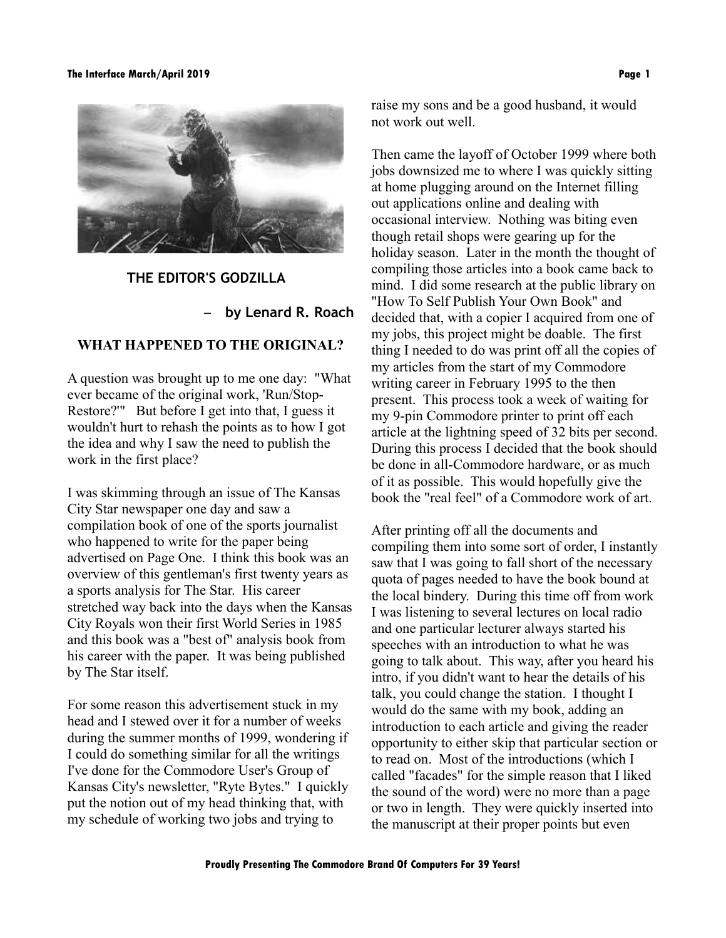#### **The Interface March/April 2019 Page 1**



#### **THE EDITOR'S GODZILLA**

#### – **by Lenard R. Roach**

## **WHAT HAPPENED TO THE ORIGINAL?**

A question was brought up to me one day: "What ever became of the original work, 'Run/Stop-Restore?'" But before I get into that, I guess it wouldn't hurt to rehash the points as to how I got the idea and why I saw the need to publish the work in the first place?

I was skimming through an issue of The Kansas City Star newspaper one day and saw a compilation book of one of the sports journalist who happened to write for the paper being advertised on Page One. I think this book was an overview of this gentleman's first twenty years as a sports analysis for The Star. His career stretched way back into the days when the Kansas City Royals won their first World Series in 1985 and this book was a "best of" analysis book from his career with the paper. It was being published by The Star itself.

For some reason this advertisement stuck in my head and I stewed over it for a number of weeks during the summer months of 1999, wondering if I could do something similar for all the writings I've done for the Commodore User's Group of Kansas City's newsletter, "Ryte Bytes." I quickly put the notion out of my head thinking that, with my schedule of working two jobs and trying to

raise my sons and be a good husband, it would not work out well.

Then came the layoff of October 1999 where both jobs downsized me to where I was quickly sitting at home plugging around on the Internet filling out applications online and dealing with occasional interview. Nothing was biting even though retail shops were gearing up for the holiday season. Later in the month the thought of compiling those articles into a book came back to mind. I did some research at the public library on "How To Self Publish Your Own Book" and decided that, with a copier I acquired from one of my jobs, this project might be doable. The first thing I needed to do was print off all the copies of my articles from the start of my Commodore writing career in February 1995 to the then present. This process took a week of waiting for my 9-pin Commodore printer to print off each article at the lightning speed of 32 bits per second. During this process I decided that the book should be done in all-Commodore hardware, or as much of it as possible. This would hopefully give the book the "real feel" of a Commodore work of art.

After printing off all the documents and compiling them into some sort of order, I instantly saw that I was going to fall short of the necessary quota of pages needed to have the book bound at the local bindery. During this time off from work I was listening to several lectures on local radio and one particular lecturer always started his speeches with an introduction to what he was going to talk about. This way, after you heard his intro, if you didn't want to hear the details of his talk, you could change the station. I thought I would do the same with my book, adding an introduction to each article and giving the reader opportunity to either skip that particular section or to read on. Most of the introductions (which I called "facades" for the simple reason that I liked the sound of the word) were no more than a page or two in length. They were quickly inserted into the manuscript at their proper points but even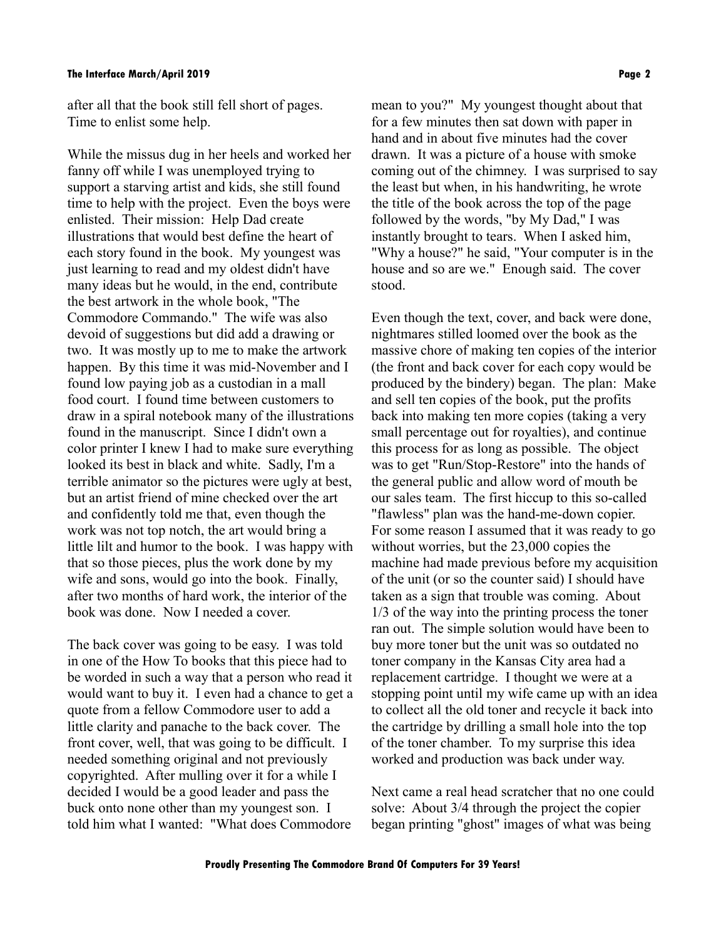after all that the book still fell short of pages. Time to enlist some help.

While the missus dug in her heels and worked her fanny off while I was unemployed trying to support a starving artist and kids, she still found time to help with the project. Even the boys were enlisted. Their mission: Help Dad create illustrations that would best define the heart of each story found in the book. My youngest was just learning to read and my oldest didn't have many ideas but he would, in the end, contribute the best artwork in the whole book, "The Commodore Commando." The wife was also devoid of suggestions but did add a drawing or two. It was mostly up to me to make the artwork happen. By this time it was mid-November and I found low paying job as a custodian in a mall food court. I found time between customers to draw in a spiral notebook many of the illustrations found in the manuscript. Since I didn't own a color printer I knew I had to make sure everything looked its best in black and white. Sadly, I'm a terrible animator so the pictures were ugly at best, but an artist friend of mine checked over the art and confidently told me that, even though the work was not top notch, the art would bring a little lilt and humor to the book. I was happy with that so those pieces, plus the work done by my wife and sons, would go into the book. Finally, after two months of hard work, the interior of the book was done. Now I needed a cover.

The back cover was going to be easy. I was told in one of the How To books that this piece had to be worded in such a way that a person who read it would want to buy it. I even had a chance to get a quote from a fellow Commodore user to add a little clarity and panache to the back cover. The front cover, well, that was going to be difficult. I needed something original and not previously copyrighted. After mulling over it for a while I decided I would be a good leader and pass the buck onto none other than my youngest son. I told him what I wanted: "What does Commodore

mean to you?" My youngest thought about that for a few minutes then sat down with paper in hand and in about five minutes had the cover drawn. It was a picture of a house with smoke coming out of the chimney. I was surprised to say the least but when, in his handwriting, he wrote the title of the book across the top of the page followed by the words, "by My Dad," I was instantly brought to tears. When I asked him, "Why a house?" he said, "Your computer is in the house and so are we." Enough said. The cover stood.

Even though the text, cover, and back were done, nightmares stilled loomed over the book as the massive chore of making ten copies of the interior (the front and back cover for each copy would be produced by the bindery) began. The plan: Make and sell ten copies of the book, put the profits back into making ten more copies (taking a very small percentage out for royalties), and continue this process for as long as possible. The object was to get "Run/Stop-Restore" into the hands of the general public and allow word of mouth be our sales team. The first hiccup to this so-called "flawless" plan was the hand-me-down copier. For some reason I assumed that it was ready to go without worries, but the 23,000 copies the machine had made previous before my acquisition of the unit (or so the counter said) I should have taken as a sign that trouble was coming. About 1/3 of the way into the printing process the toner ran out. The simple solution would have been to buy more toner but the unit was so outdated no toner company in the Kansas City area had a replacement cartridge. I thought we were at a stopping point until my wife came up with an idea to collect all the old toner and recycle it back into the cartridge by drilling a small hole into the top of the toner chamber. To my surprise this idea worked and production was back under way.

Next came a real head scratcher that no one could solve: About 3/4 through the project the copier began printing "ghost" images of what was being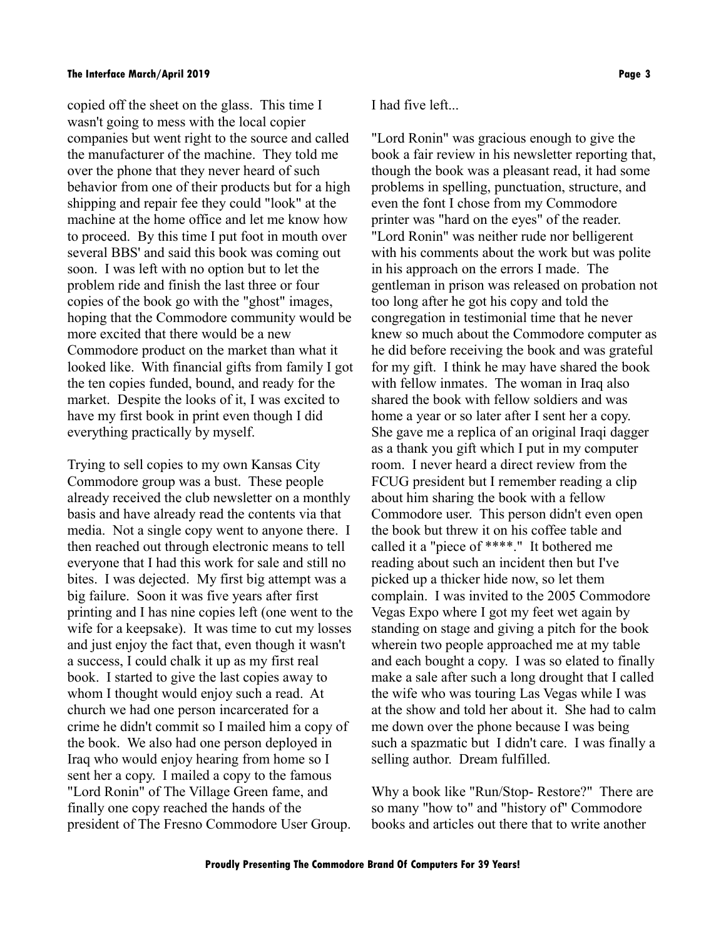copied off the sheet on the glass. This time I wasn't going to mess with the local copier companies but went right to the source and called the manufacturer of the machine. They told me over the phone that they never heard of such behavior from one of their products but for a high shipping and repair fee they could "look" at the machine at the home office and let me know how to proceed. By this time I put foot in mouth over several BBS' and said this book was coming out soon. I was left with no option but to let the problem ride and finish the last three or four copies of the book go with the "ghost" images, hoping that the Commodore community would be more excited that there would be a new Commodore product on the market than what it looked like. With financial gifts from family I got the ten copies funded, bound, and ready for the market. Despite the looks of it, I was excited to have my first book in print even though I did everything practically by myself.

Trying to sell copies to my own Kansas City Commodore group was a bust. These people already received the club newsletter on a monthly basis and have already read the contents via that media. Not a single copy went to anyone there. I then reached out through electronic means to tell everyone that I had this work for sale and still no bites. I was dejected. My first big attempt was a big failure. Soon it was five years after first printing and I has nine copies left (one went to the wife for a keepsake). It was time to cut my losses and just enjoy the fact that, even though it wasn't a success, I could chalk it up as my first real book. I started to give the last copies away to whom I thought would enjoy such a read. At church we had one person incarcerated for a crime he didn't commit so I mailed him a copy of the book. We also had one person deployed in Iraq who would enjoy hearing from home so I sent her a copy. I mailed a copy to the famous "Lord Ronin" of The Village Green fame, and finally one copy reached the hands of the president of The Fresno Commodore User Group.

I had five left...

"Lord Ronin" was gracious enough to give the book a fair review in his newsletter reporting that, though the book was a pleasant read, it had some problems in spelling, punctuation, structure, and even the font I chose from my Commodore printer was "hard on the eyes" of the reader. "Lord Ronin" was neither rude nor belligerent with his comments about the work but was polite in his approach on the errors I made. The gentleman in prison was released on probation not too long after he got his copy and told the congregation in testimonial time that he never knew so much about the Commodore computer as he did before receiving the book and was grateful for my gift. I think he may have shared the book with fellow inmates. The woman in Iraq also shared the book with fellow soldiers and was home a year or so later after I sent her a copy. She gave me a replica of an original Iraqi dagger as a thank you gift which I put in my computer room. I never heard a direct review from the FCUG president but I remember reading a clip about him sharing the book with a fellow Commodore user. This person didn't even open the book but threw it on his coffee table and called it a "piece of \*\*\*\*." It bothered me reading about such an incident then but I've picked up a thicker hide now, so let them complain. I was invited to the 2005 Commodore Vegas Expo where I got my feet wet again by standing on stage and giving a pitch for the book wherein two people approached me at my table and each bought a copy. I was so elated to finally make a sale after such a long drought that I called the wife who was touring Las Vegas while I was at the show and told her about it. She had to calm me down over the phone because I was being such a spazmatic but I didn't care. I was finally a selling author. Dream fulfilled.

Why a book like "Run/Stop- Restore?" There are so many "how to" and "history of" Commodore books and articles out there that to write another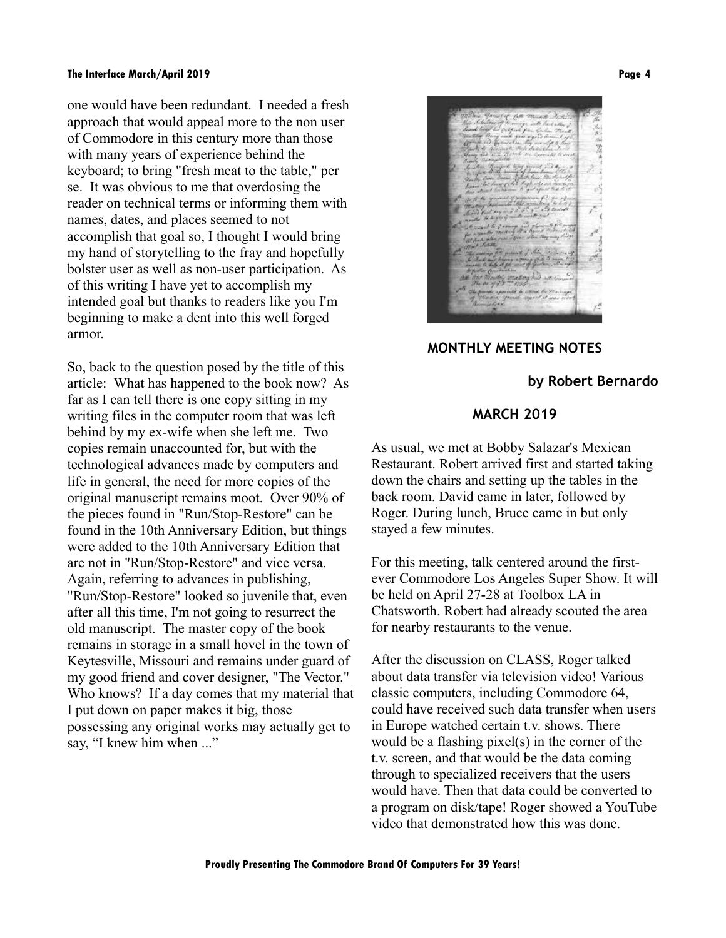one would have been redundant. I needed a fresh approach that would appeal more to the non user of Commodore in this century more than those with many years of experience behind the keyboard; to bring "fresh meat to the table," per se. It was obvious to me that overdosing the reader on technical terms or informing them with names, dates, and places seemed to not accomplish that goal so, I thought I would bring my hand of storytelling to the fray and hopefully bolster user as well as non-user participation. As of this writing I have yet to accomplish my intended goal but thanks to readers like you I'm beginning to make a dent into this well forged armor.

So, back to the question posed by the title of this article: What has happened to the book now? As far as I can tell there is one copy sitting in my writing files in the computer room that was left behind by my ex-wife when she left me. Two copies remain unaccounted for, but with the technological advances made by computers and life in general, the need for more copies of the original manuscript remains moot. Over 90% of the pieces found in "Run/Stop-Restore" can be found in the 10th Anniversary Edition, but things were added to the 10th Anniversary Edition that are not in "Run/Stop-Restore" and vice versa. Again, referring to advances in publishing, "Run/Stop-Restore" looked so juvenile that, even after all this time, I'm not going to resurrect the old manuscript. The master copy of the book remains in storage in a small hovel in the town of Keytesville, Missouri and remains under guard of my good friend and cover designer, "The Vector." Who knows? If a day comes that my material that I put down on paper makes it big, those possessing any original works may actually get to say, "I knew him when ..."



**MONTHLY MEETING NOTES**

### **by Robert Bernardo**

# **MARCH 2019**

As usual, we met at Bobby Salazar's Mexican Restaurant. Robert arrived first and started taking down the chairs and setting up the tables in the back room. David came in later, followed by Roger. During lunch, Bruce came in but only stayed a few minutes.

For this meeting, talk centered around the firstever Commodore Los Angeles Super Show. It will be held on April 27-28 at Toolbox LA in Chatsworth. Robert had already scouted the area for nearby restaurants to the venue.

After the discussion on CLASS, Roger talked about data transfer via television video! Various classic computers, including Commodore 64, could have received such data transfer when users in Europe watched certain t.v. shows. There would be a flashing pixel(s) in the corner of the t.v. screen, and that would be the data coming through to specialized receivers that the users would have. Then that data could be converted to a program on disk/tape! Roger showed a YouTube video that demonstrated how this was done.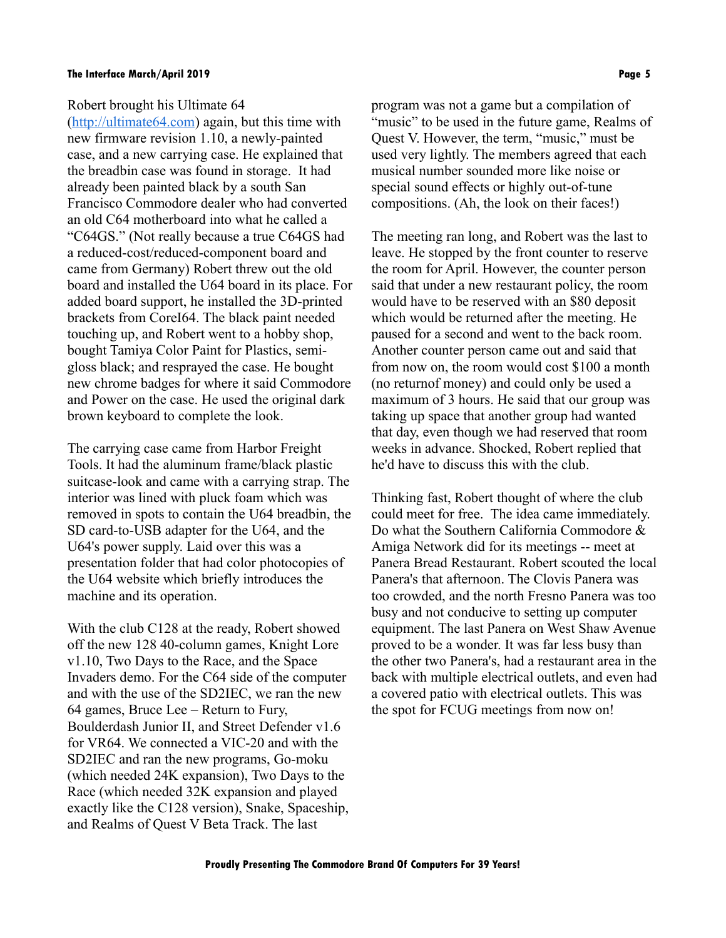#### Robert brought his Ultimate 64

[\(http://ultimate64.com\)](http://ultimate64.com/) again, but this time with new firmware revision 1.10, a newly-painted case, and a new carrying case. He explained that the breadbin case was found in storage. It had already been painted black by a south San Francisco Commodore dealer who had converted an old C64 motherboard into what he called a "C64GS." (Not really because a true C64GS had a reduced-cost/reduced-component board and came from Germany) Robert threw out the old board and installed the U64 board in its place. For added board support, he installed the 3D-printed brackets from CoreI64. The black paint needed touching up, and Robert went to a hobby shop, bought Tamiya Color Paint for Plastics, semigloss black; and resprayed the case. He bought new chrome badges for where it said Commodore and Power on the case. He used the original dark brown keyboard to complete the look.

The carrying case came from Harbor Freight Tools. It had the aluminum frame/black plastic suitcase-look and came with a carrying strap. The interior was lined with pluck foam which was removed in spots to contain the U64 breadbin, the SD card-to-USB adapter for the U64, and the U64's power supply. Laid over this was a presentation folder that had color photocopies of the U64 website which briefly introduces the machine and its operation.

With the club C128 at the ready, Robert showed off the new 128 40-column games, Knight Lore v1.10, Two Days to the Race, and the Space Invaders demo. For the C64 side of the computer and with the use of the SD2IEC, we ran the new 64 games, Bruce Lee – Return to Fury, Boulderdash Junior II, and Street Defender v1.6 for VR64. We connected a VIC-20 and with the SD2IEC and ran the new programs, Go-moku (which needed 24K expansion), Two Days to the Race (which needed 32K expansion and played exactly like the C128 version), Snake, Spaceship, and Realms of Quest V Beta Track. The last

program was not a game but a compilation of "music" to be used in the future game, Realms of Quest V. However, the term, "music," must be used very lightly. The members agreed that each musical number sounded more like noise or special sound effects or highly out-of-tune compositions. (Ah, the look on their faces!)

The meeting ran long, and Robert was the last to leave. He stopped by the front counter to reserve the room for April. However, the counter person said that under a new restaurant policy, the room would have to be reserved with an \$80 deposit which would be returned after the meeting. He paused for a second and went to the back room. Another counter person came out and said that from now on, the room would cost \$100 a month (no returnof money) and could only be used a maximum of 3 hours. He said that our group was taking up space that another group had wanted that day, even though we had reserved that room weeks in advance. Shocked, Robert replied that he'd have to discuss this with the club.

Thinking fast, Robert thought of where the club could meet for free. The idea came immediately. Do what the Southern California Commodore & Amiga Network did for its meetings -- meet at Panera Bread Restaurant. Robert scouted the local Panera's that afternoon. The Clovis Panera was too crowded, and the north Fresno Panera was too busy and not conducive to setting up computer equipment. The last Panera on West Shaw Avenue proved to be a wonder. It was far less busy than the other two Panera's, had a restaurant area in the back with multiple electrical outlets, and even had a covered patio with electrical outlets. This was the spot for FCUG meetings from now on!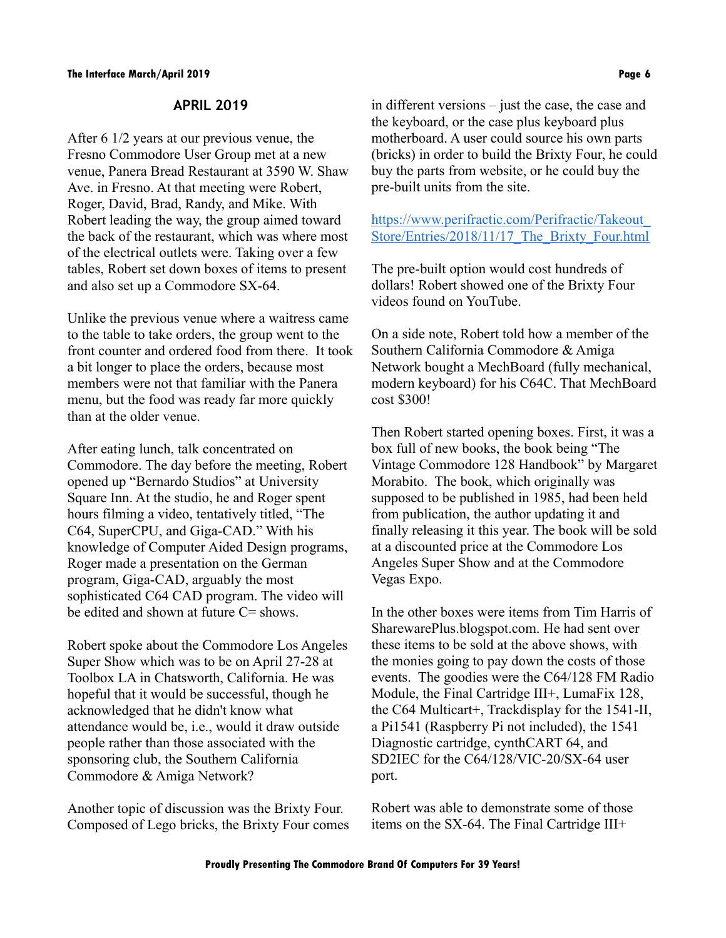### **APRIL 2019**

After 6 1/2 years at our previous venue, the Fresno Commodore User Group met at a new venue, Panera Bread Restaurant at 3590 W. Shaw Ave. in Fresno. At that meeting were Robert, Roger, David, Brad, Randy, and Mike. With Robert leading the way, the group aimed toward the back of the restaurant, which was where most of the electrical outlets were. Taking over a few tables, Robert set down boxes of items to present and also set up a Commodore SX-64.

Unlike the previous venue where a waitress came to the table to take orders, the group went to the front counter and ordered food from there. It took a bit longer to place the orders, because most members were not that familiar with the Panera menu, but the food was ready far more quickly than at the older venue.

After eating lunch, talk concentrated on Commodore. The day before the meeting, Robert opened up "Bernardo Studios" at University Square Inn. At the studio, he and Roger spent hours filming a video, tentatively titled, "The C64, SuperCPU, and Giga-CAD." With his knowledge of Computer Aided Design programs, Roger made a presentation on the German program, Giga-CAD, arguably the most sophisticated C64 CAD program. The video will be edited and shown at future C= shows.

Robert spoke about the Commodore Los Angeles Super Show which was to be on April 27-28 at Toolbox LA in Chatsworth, California. He was hopeful that it would be successful, though he acknowledged that he didn't know what attendance would be, i.e., would it draw outside people rather than those associated with the sponsoring club, the Southern California Commodore & Amiga Network?

Another topic of discussion was the Brixty Four. Composed of Lego bricks, the Brixty Four comes in different versions – just the case, the case and the keyboard, or the case plus keyboard plus motherboard. A user could source his own parts (bricks) in order to build the Brixty Four, he could buy the parts from website, or he could buy the pre-built units from the site.

[https://www.perifractic.com/Perifractic/Takeout\\_](https://www.perifractic.com/Perifractic/Takeout_Store/Entries/2018/11/17_The_Brixty_Four.html) [Store/Entries/2018/11/17\\_The\\_Brixty\\_Four.html](https://www.perifractic.com/Perifractic/Takeout_Store/Entries/2018/11/17_The_Brixty_Four.html)

The pre-built option would cost hundreds of dollars! Robert showed one of the Brixty Four videos found on YouTube.

On a side note, Robert told how a member of the Southern California Commodore & Amiga Network bought a MechBoard (fully mechanical, modern keyboard) for his C64C. That MechBoard cost \$300!

Then Robert started opening boxes. First, it was a box full of new books, the book being "The Vintage Commodore 128 Handbook" by Margaret Morabito. The book, which originally was supposed to be published in 1985, had been held from publication, the author updating it and finally releasing it this year. The book will be sold at a discounted price at the Commodore Los Angeles Super Show and at the Commodore Vegas Expo.

In the other boxes were items from Tim Harris of SharewarePlus.blogspot.com. He had sent over these items to be sold at the above shows, with the monies going to pay down the costs of those events. The goodies were the C64/128 FM Radio Module, the Final Cartridge III+, LumaFix 128, the C64 Multicart+, Trackdisplay for the 1541-II, a Pi1541 (Raspberry Pi not included), the 1541 Diagnostic cartridge, cynthCART 64, and SD2IEC for the C64/128/VIC-20/SX-64 user port.

Robert was able to demonstrate some of those items on the SX-64. The Final Cartridge III+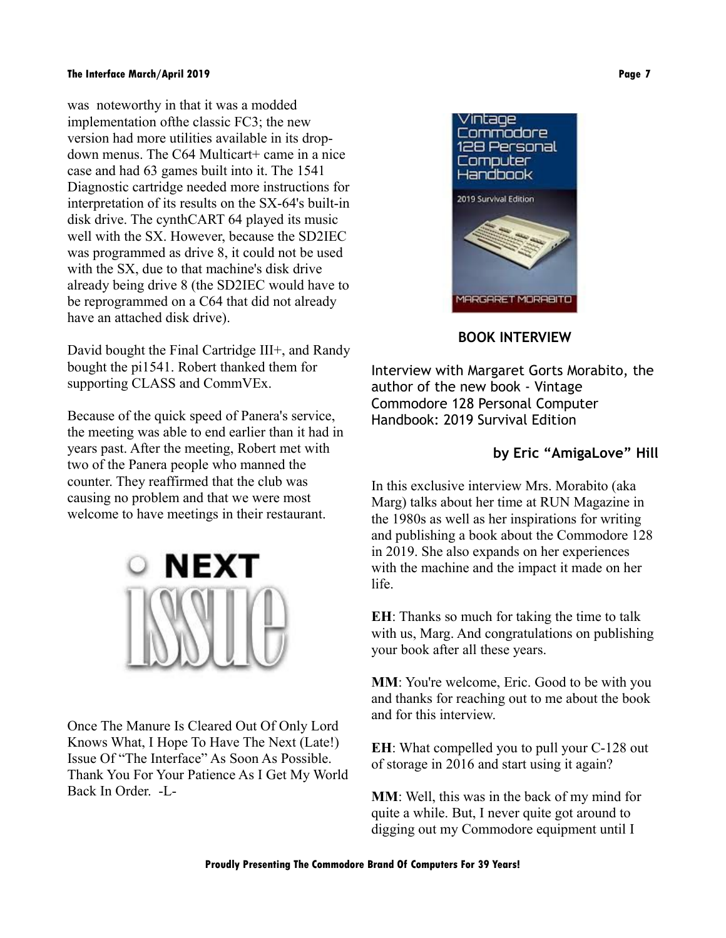was noteworthy in that it was a modded implementation ofthe classic FC3; the new version had more utilities available in its dropdown menus. The C64 Multicart+ came in a nice case and had 63 games built into it. The 1541 Diagnostic cartridge needed more instructions for interpretation of its results on the SX-64's built-in disk drive. The cynthCART 64 played its music well with the SX. However, because the SD2IEC was programmed as drive 8, it could not be used with the SX, due to that machine's disk drive already being drive 8 (the SD2IEC would have to be reprogrammed on a C64 that did not already have an attached disk drive).

David bought the Final Cartridge III+, and Randy bought the pi1541. Robert thanked them for supporting CLASS and CommVEx.

Because of the quick speed of Panera's service, the meeting was able to end earlier than it had in years past. After the meeting, Robert met with two of the Panera people who manned the counter. They reaffirmed that the club was causing no problem and that we were most welcome to have meetings in their restaurant.



Once The Manure Is Cleared Out Of Only Lord Knows What, I Hope To Have The Next (Late!) Issue Of "The Interface" As Soon As Possible. Thank You For Your Patience As I Get My World Back In Order. -L-



### **BOOK INTERVIEW**

Interview with Margaret Gorts Morabito, the author of the new book - Vintage Commodore 128 Personal Computer Handbook: 2019 Survival Edition

## **by Eric "AmigaLove" Hill**

In this exclusive interview Mrs. Morabito (aka Marg) talks about her time at RUN Magazine in the 1980s as well as her inspirations for writing and publishing a book about the Commodore 128 in 2019. She also expands on her experiences with the machine and the impact it made on her life.

**EH**: Thanks so much for taking the time to talk with us, Marg. And congratulations on publishing your book after all these years.

**MM**: You're welcome, Eric. Good to be with you and thanks for reaching out to me about the book and for this interview.

**EH**: What compelled you to pull your C-128 out of storage in 2016 and start using it again?

**MM**: Well, this was in the back of my mind for quite a while. But, I never quite got around to digging out my Commodore equipment until I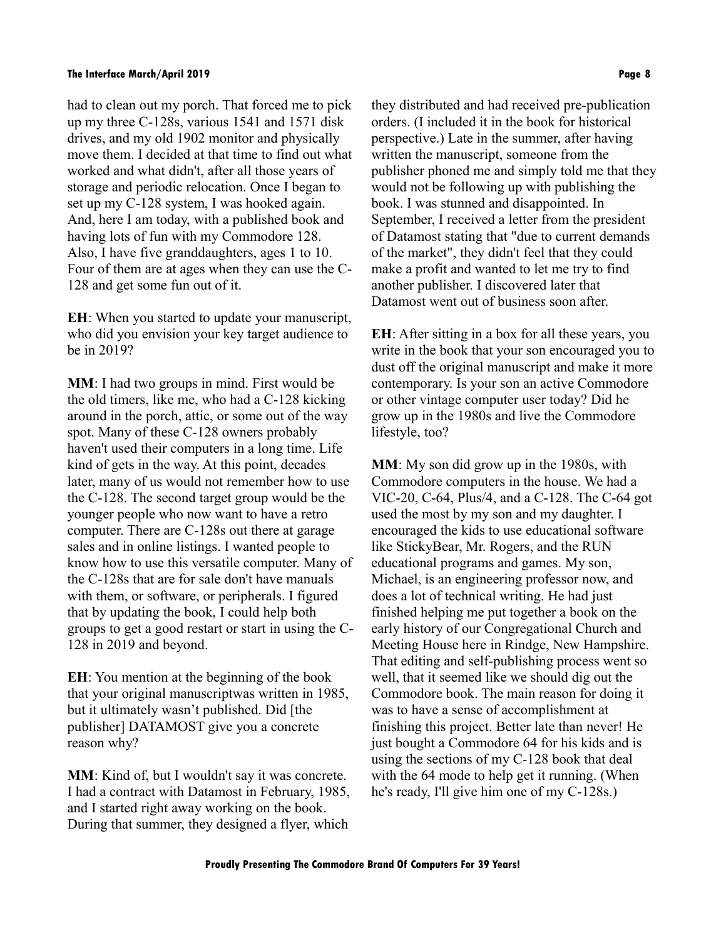had to clean out my porch. That forced me to pick up my three C-128s, various 1541 and 1571 disk drives, and my old 1902 monitor and physically move them. I decided at that time to find out what worked and what didn't, after all those years of storage and periodic relocation. Once I began to set up my C-128 system, I was hooked again. And, here I am today, with a published book and having lots of fun with my Commodore 128. Also, I have five granddaughters, ages 1 to 10. Four of them are at ages when they can use the C-128 and get some fun out of it.

**EH**: When you started to update your manuscript, who did you envision your key target audience to be in 2019?

**MM**: I had two groups in mind. First would be the old timers, like me, who had a C-128 kicking around in the porch, attic, or some out of the way spot. Many of these C-128 owners probably haven't used their computers in a long time. Life kind of gets in the way. At this point, decades later, many of us would not remember how to use the C-128. The second target group would be the younger people who now want to have a retro computer. There are C-128s out there at garage sales and in online listings. I wanted people to know how to use this versatile computer. Many of the C-128s that are for sale don't have manuals with them, or software, or peripherals. I figured that by updating the book, I could help both groups to get a good restart or start in using the C-128 in 2019 and beyond.

**EH**: You mention at the beginning of the book that your original manuscriptwas written in 1985, but it ultimately wasn't published. Did [the publisher] DATAMOST give you a concrete reason why?

**MM**: Kind of, but I wouldn't say it was concrete. I had a contract with Datamost in February, 1985, and I started right away working on the book. During that summer, they designed a flyer, which they distributed and had received pre-publication orders. (I included it in the book for historical perspective.) Late in the summer, after having written the manuscript, someone from the publisher phoned me and simply told me that they would not be following up with publishing the book. I was stunned and disappointed. In September, I received a letter from the president of Datamost stating that "due to current demands of the market", they didn't feel that they could make a profit and wanted to let me try to find another publisher. I discovered later that Datamost went out of business soon after.

**EH**: After sitting in a box for all these years, you write in the book that your son encouraged you to dust off the original manuscript and make it more contemporary. Is your son an active Commodore or other vintage computer user today? Did he grow up in the 1980s and live the Commodore lifestyle, too?

**MM**: My son did grow up in the 1980s, with Commodore computers in the house. We had a VIC-20, C-64, Plus/4, and a C-128. The C-64 got used the most by my son and my daughter. I encouraged the kids to use educational software like StickyBear, Mr. Rogers, and the RUN educational programs and games. My son, Michael, is an engineering professor now, and does a lot of technical writing. He had just finished helping me put together a book on the early history of our Congregational Church and Meeting House here in Rindge, New Hampshire. That editing and self-publishing process went so well, that it seemed like we should dig out the Commodore book. The main reason for doing it was to have a sense of accomplishment at finishing this project. Better late than never! He just bought a Commodore 64 for his kids and is using the sections of my C-128 book that deal with the 64 mode to help get it running. (When he's ready, I'll give him one of my C-128s.)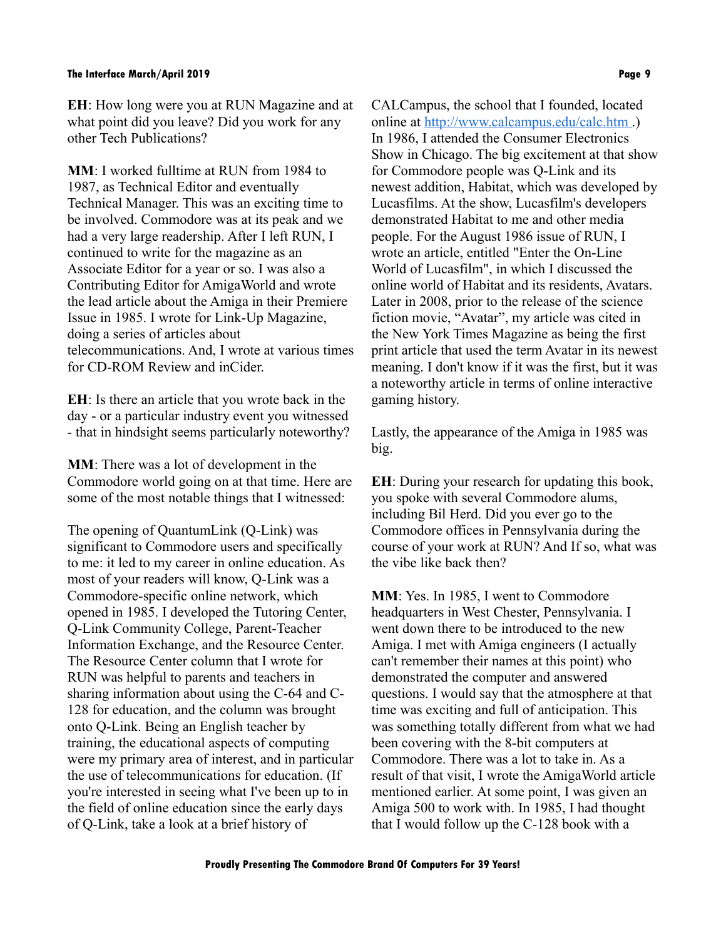**EH**: How long were you at RUN Magazine and at what point did you leave? Did you work for any other Tech Publications?

**MM**: I worked fulltime at RUN from 1984 to 1987, as Technical Editor and eventually Technical Manager. This was an exciting time to be involved. Commodore was at its peak and we had a very large readership. After I left RUN, I continued to write for the magazine as an Associate Editor for a year or so. I was also a Contributing Editor for AmigaWorld and wrote the lead article about the Amiga in their Premiere Issue in 1985. I wrote for Link-Up Magazine, doing a series of articles about telecommunications. And, I wrote at various times for CD-ROM Review and inCider.

**EH**: Is there an article that you wrote back in the day - or a particular industry event you witnessed - that in hindsight seems particularly noteworthy?

**MM**: There was a lot of development in the Commodore world going on at that time. Here are some of the most notable things that I witnessed:

The opening of QuantumLink (Q-Link) was significant to Commodore users and specifically to me: it led to my career in online education. As most of your readers will know, Q-Link was a Commodore-specific online network, which opened in 1985. I developed the Tutoring Center, Q-Link Community College, Parent-Teacher Information Exchange, and the Resource Center. The Resource Center column that I wrote for RUN was helpful to parents and teachers in sharing information about using the C-64 and C-128 for education, and the column was brought onto Q-Link. Being an English teacher by training, the educational aspects of computing were my primary area of interest, and in particular the use of telecommunications for education. (If you're interested in seeing what I've been up to in the field of online education since the early days of Q-Link, take a look at a brief history of

CALCampus, the school that I founded, located online at<http://www.calcampus.edu/calc.htm> .) In 1986, I attended the Consumer Electronics Show in Chicago. The big excitement at that show for Commodore people was Q-Link and its newest addition, Habitat, which was developed by Lucasfilms. At the show, Lucasfilm's developers demonstrated Habitat to me and other media people. For the August 1986 issue of RUN, I wrote an article, entitled "Enter the On-Line World of Lucasfilm", in which I discussed the online world of Habitat and its residents, Avatars. Later in 2008, prior to the release of the science fiction movie, "Avatar", my article was cited in the New York Times Magazine as being the first print article that used the term Avatar in its newest meaning. I don't know if it was the first, but it was a noteworthy article in terms of online interactive gaming history.

Lastly, the appearance of the Amiga in 1985 was big.

**EH**: During your research for updating this book, you spoke with several Commodore alums, including Bil Herd. Did you ever go to the Commodore offices in Pennsylvania during the course of your work at RUN? And If so, what was the vibe like back then?

**MM**: Yes. In 1985, I went to Commodore headquarters in West Chester, Pennsylvania. I went down there to be introduced to the new Amiga. I met with Amiga engineers (I actually can't remember their names at this point) who demonstrated the computer and answered questions. I would say that the atmosphere at that time was exciting and full of anticipation. This was something totally different from what we had been covering with the 8-bit computers at Commodore. There was a lot to take in. As a result of that visit, I wrote the AmigaWorld article mentioned earlier. At some point, I was given an Amiga 500 to work with. In 1985, I had thought that I would follow up the C-128 book with a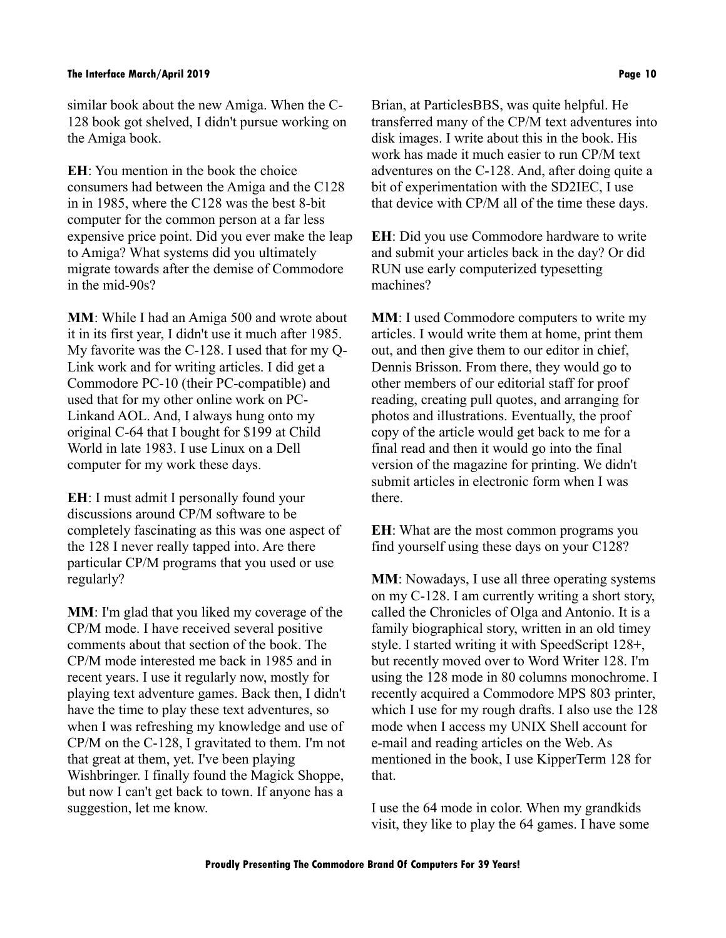similar book about the new Amiga. When the C-128 book got shelved, I didn't pursue working on the Amiga book.

**EH**: You mention in the book the choice consumers had between the Amiga and the C128 in in 1985, where the C128 was the best 8-bit computer for the common person at a far less expensive price point. Did you ever make the leap to Amiga? What systems did you ultimately migrate towards after the demise of Commodore in the mid-90s?

**MM**: While I had an Amiga 500 and wrote about it in its first year, I didn't use it much after 1985. My favorite was the C-128. I used that for my Q-Link work and for writing articles. I did get a Commodore PC-10 (their PC-compatible) and used that for my other online work on PC-Linkand AOL. And, I always hung onto my original C-64 that I bought for \$199 at Child World in late 1983. I use Linux on a Dell computer for my work these days.

**EH**: I must admit I personally found your discussions around CP/M software to be completely fascinating as this was one aspect of the 128 I never really tapped into. Are there particular CP/M programs that you used or use regularly?

**MM**: I'm glad that you liked my coverage of the CP/M mode. I have received several positive comments about that section of the book. The CP/M mode interested me back in 1985 and in recent years. I use it regularly now, mostly for playing text adventure games. Back then, I didn't have the time to play these text adventures, so when I was refreshing my knowledge and use of CP/M on the C-128, I gravitated to them. I'm not that great at them, yet. I've been playing Wishbringer. I finally found the Magick Shoppe, but now I can't get back to town. If anyone has a suggestion, let me know.

Brian, at ParticlesBBS, was quite helpful. He transferred many of the CP/M text adventures into disk images. I write about this in the book. His work has made it much easier to run CP/M text adventures on the C-128. And, after doing quite a bit of experimentation with the SD2IEC, I use that device with CP/M all of the time these days.

**EH**: Did you use Commodore hardware to write and submit your articles back in the day? Or did RUN use early computerized typesetting machines?

**MM**: I used Commodore computers to write my articles. I would write them at home, print them out, and then give them to our editor in chief, Dennis Brisson. From there, they would go to other members of our editorial staff for proof reading, creating pull quotes, and arranging for photos and illustrations. Eventually, the proof copy of the article would get back to me for a final read and then it would go into the final version of the magazine for printing. We didn't submit articles in electronic form when I was there.

**EH**: What are the most common programs you find yourself using these days on your C128?

**MM**: Nowadays, I use all three operating systems on my C-128. I am currently writing a short story, called the Chronicles of Olga and Antonio. It is a family biographical story, written in an old timey style. I started writing it with SpeedScript 128+, but recently moved over to Word Writer 128. I'm using the 128 mode in 80 columns monochrome. I recently acquired a Commodore MPS 803 printer, which I use for my rough drafts. I also use the 128 mode when I access my UNIX Shell account for e-mail and reading articles on the Web. As mentioned in the book, I use KipperTerm 128 for that.

I use the 64 mode in color. When my grandkids visit, they like to play the 64 games. I have some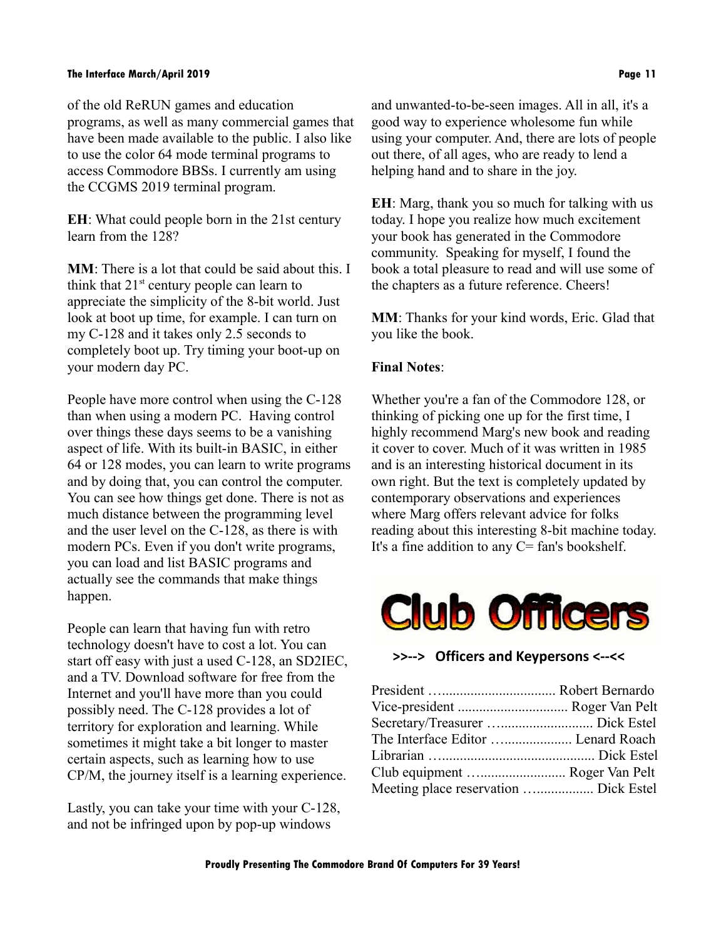#### **The Interface March/April 2019 Page 11**

of the old ReRUN games and education programs, as well as many commercial games that have been made available to the public. I also like to use the color 64 mode terminal programs to access Commodore BBSs. I currently am using the CCGMS 2019 terminal program.

**EH**: What could people born in the 21st century learn from the 128?

**MM**: There is a lot that could be said about this. I think that  $21<sup>st</sup>$  century people can learn to appreciate the simplicity of the 8-bit world. Just look at boot up time, for example. I can turn on my C-128 and it takes only 2.5 seconds to completely boot up. Try timing your boot-up on your modern day PC.

People have more control when using the C-128 than when using a modern PC. Having control over things these days seems to be a vanishing aspect of life. With its built-in BASIC, in either 64 or 128 modes, you can learn to write programs and by doing that, you can control the computer. You can see how things get done. There is not as much distance between the programming level and the user level on the C-128, as there is with modern PCs. Even if you don't write programs, you can load and list BASIC programs and actually see the commands that make things happen.

People can learn that having fun with retro technology doesn't have to cost a lot. You can start off easy with just a used C-128, an SD2IEC, and a TV. Download software for free from the Internet and you'll have more than you could possibly need. The C-128 provides a lot of territory for exploration and learning. While sometimes it might take a bit longer to master certain aspects, such as learning how to use CP/M, the journey itself is a learning experience.

Lastly, you can take your time with your C-128, and not be infringed upon by pop-up windows

and unwanted-to-be-seen images. All in all, it's a good way to experience wholesome fun while using your computer. And, there are lots of people out there, of all ages, who are ready to lend a helping hand and to share in the joy.

**EH**: Marg, thank you so much for talking with us today. I hope you realize how much excitement your book has generated in the Commodore community. Speaking for myself, I found the book a total pleasure to read and will use some of the chapters as a future reference. Cheers!

**MM**: Thanks for your kind words, Eric. Glad that you like the book.

#### **Final Notes**:

Whether you're a fan of the Commodore 128, or thinking of picking one up for the first time, I highly recommend Marg's new book and reading it cover to cover. Much of it was written in 1985 and is an interesting historical document in its own right. But the text is completely updated by contemporary observations and experiences where Marg offers relevant advice for folks reading about this interesting 8-bit machine today. It's a fine addition to any  $C = \text{fan's book}$ 



**>>--> Officers and Keypersons <--<<**

| Vice-president  Roger Van Pelt        |  |
|---------------------------------------|--|
|                                       |  |
| The Interface Editor  Lenard Roach    |  |
|                                       |  |
| Club equipment  Roger Van Pelt        |  |
| Meeting place reservation  Dick Estel |  |